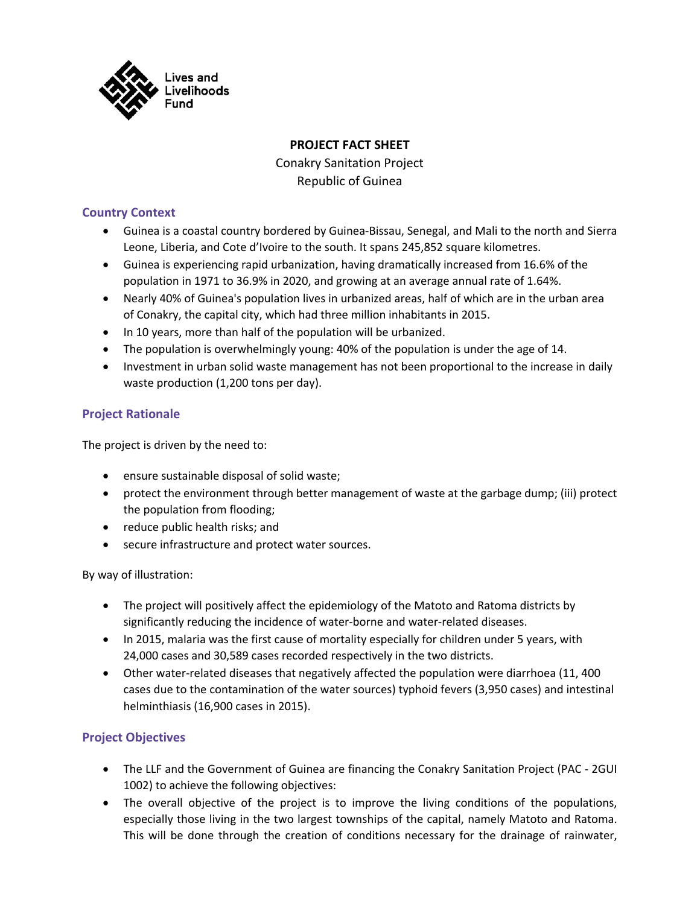

# **PROJECT FACT SHEET**

Conakry Sanitation Project Republic of Guinea

### **Country Context**

- Guinea is a coastal country bordered by Guinea-Bissau, Senegal, and Mali to the north and Sierra Leone, Liberia, and Cote d'Ivoire to the south. It spans 245,852 square kilometres.
- Guinea is experiencing rapid urbanization, having dramatically increased from 16.6% of the population in 1971 to 36.9% in 2020, and growing at an average annual rate of 1.64%.
- Nearly 40% of Guinea's population lives in urbanized areas, half of which are in the urban area of Conakry, the capital city, which had three million inhabitants in 2015.
- In 10 years, more than half of the population will be urbanized.
- The population is overwhelmingly young: 40% of the population is under the age of 14.
- Investment in urban solid waste management has not been proportional to the increase in daily waste production (1,200 tons per day).

## **Project Rationale**

The project is driven by the need to:

- ensure sustainable disposal of solid waste;
- protect the environment through better management of waste at the garbage dump; (iii) protect the population from flooding;
- reduce public health risks; and
- secure infrastructure and protect water sources.

By way of illustration:

- The project will positively affect the epidemiology of the Matoto and Ratoma districts by significantly reducing the incidence of water-borne and water-related diseases.
- In 2015, malaria was the first cause of mortality especially for children under 5 years, with 24,000 cases and 30,589 cases recorded respectively in the two districts.
- Other water-related diseases that negatively affected the population were diarrhoea (11, 400 cases due to the contamination of the water sources) typhoid fevers (3,950 cases) and intestinal helminthiasis (16,900 cases in 2015).

### **Project Objectives**

- The LLF and the Government of Guinea are financing the Conakry Sanitation Project (PAC 2GUI 1002) to achieve the following objectives:
- The overall objective of the project is to improve the living conditions of the populations, especially those living in the two largest townships of the capital, namely Matoto and Ratoma. This will be done through the creation of conditions necessary for the drainage of rainwater,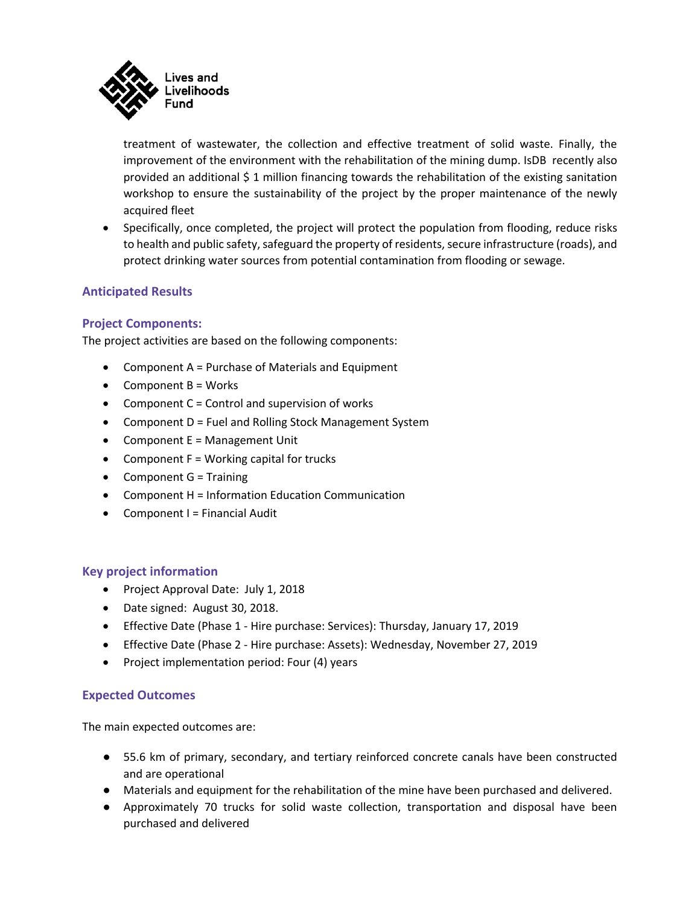

treatment of wastewater, the collection and effective treatment of solid waste. Finally, the improvement of the environment with the rehabilitation of the mining dump. IsDB recently also provided an additional \$ 1 million financing towards the rehabilitation of the existing sanitation workshop to ensure the sustainability of the project by the proper maintenance of the newly acquired fleet

• Specifically, once completed, the project will protect the population from flooding, reduce risks to health and public safety, safeguard the property of residents, secure infrastructure (roads), and protect drinking water sources from potential contamination from flooding or sewage.

## **Anticipated Results**

### **Project Components:**

The project activities are based on the following components:

- Component A = Purchase of Materials and Equipment
- Component B = Works
- Component  $C =$  Control and supervision of works
- Component D = Fuel and Rolling Stock Management System
- Component E = Management Unit
- Component F = Working capital for trucks
- Component G = Training
- Component H = Information Education Communication
- Component I = Financial Audit

#### **Key project information**

- Project Approval Date: July 1, 2018
- Date signed: August 30, 2018.
- Effective Date (Phase 1 Hire purchase: Services): Thursday, January 17, 2019
- Effective Date (Phase 2 Hire purchase: Assets): Wednesday, November 27, 2019
- Project implementation period: Four (4) years

#### **Expected Outcomes**

The main expected outcomes are:

- 55.6 km of primary, secondary, and tertiary reinforced concrete canals have been constructed and are operational
- Materials and equipment for the rehabilitation of the mine have been purchased and delivered.
- Approximately 70 trucks for solid waste collection, transportation and disposal have been purchased and delivered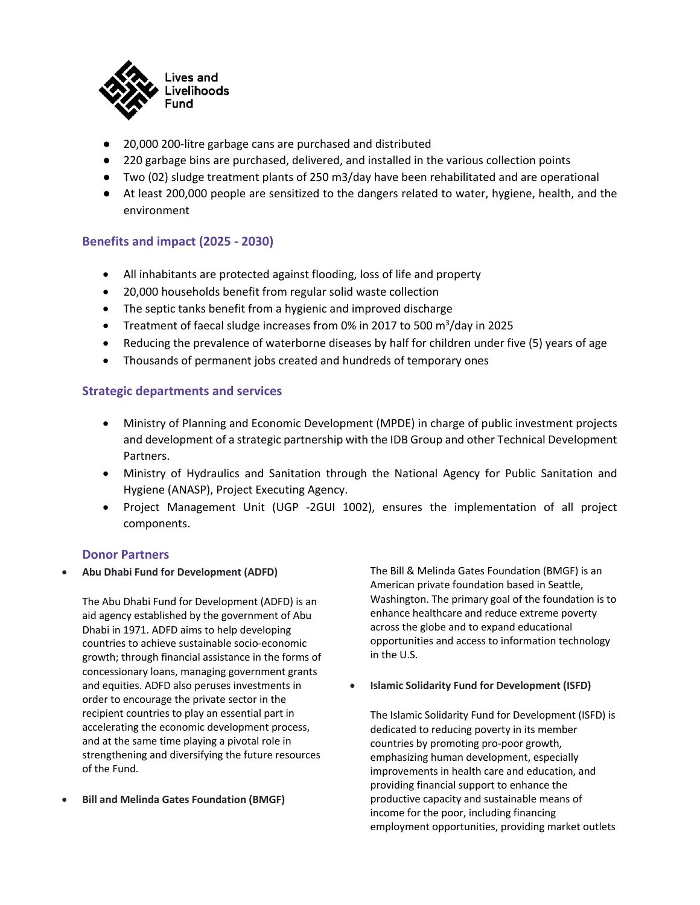

- 20,000 200-litre garbage cans are purchased and distributed
- 220 garbage bins are purchased, delivered, and installed in the various collection points
- Two (02) sludge treatment plants of 250 m3/day have been rehabilitated and are operational
- At least 200,000 people are sensitized to the dangers related to water, hygiene, health, and the environment

### **Benefits and impact (2025 - 2030)**

- All inhabitants are protected against flooding, loss of life and property
- 20,000 households benefit from regular solid waste collection
- The septic tanks benefit from a hygienic and improved discharge
- Treatment of faecal sludge increases from 0% in 2017 to 500 m<sup>3</sup>/day in 2025
- Reducing the prevalence of waterborne diseases by half for children under five (5) years of age
- Thousands of permanent jobs created and hundreds of temporary ones

#### **Strategic departments and services**

- Ministry of Planning and Economic Development (MPDE) in charge of public investment projects and development of a strategic partnership with the IDB Group and other Technical Development Partners.
- Ministry of Hydraulics and Sanitation through the National Agency for Public Sanitation and Hygiene (ANASP), Project Executing Agency.
- Project Management Unit (UGP -2GUI 1002), ensures the implementation of all project components.

#### **Donor Partners**

• **Abu Dhabi Fund for Development (ADFD)**

The Abu Dhabi Fund for Development (ADFD) is an aid agency established by the government of Abu Dhabi in 1971. ADFD aims to help developing countries to achieve sustainable socio-economic growth; through financial assistance in the forms of concessionary loans, managing government grants and equities. ADFD also peruses investments in order to encourage the private sector in the recipient countries to play an essential part in accelerating the economic development process, and at the same time playing a pivotal role in strengthening and diversifying the future resources of the Fund.

• **Bill and Melinda Gates Foundation (BMGF)**

The Bill & Melinda Gates Foundation (BMGF) is an American private foundation based in Seattle, Washington. The primary goal of the foundation is to enhance healthcare and reduce extreme poverty across the globe and to expand educational opportunities and access to information technology in the U.S.

• **Islamic Solidarity Fund for Development (ISFD)**

The Islamic Solidarity Fund for Development (ISFD) is dedicated to reducing poverty in its member countries by promoting pro-poor growth, emphasizing human development, especially improvements in health care and education, and providing financial support to enhance the productive capacity and sustainable means of income for the poor, including financing employment opportunities, providing market outlets